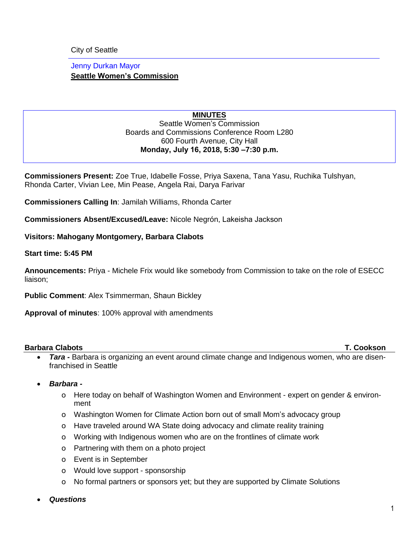City of Seattle

Jenny Durkan Mayor **Seattle Women's Commission**

#### **MINUTES** Seattle Women's Commission Boards and Commissions Conference Room L280 600 Fourth Avenue, City Hall **Monday, July 16, 2018, 5:30 –7:30 p.m.**

**Commissioners Present:** Zoe True, Idabelle Fosse, Priya Saxena, Tana Yasu, Ruchika Tulshyan, Rhonda Carter, Vivian Lee, Min Pease, Angela Rai, Darya Farivar

**Commissioners Calling In**: Jamilah Williams, Rhonda Carter

**Commissioners Absent/Excused/Leave:** Nicole Negrón, Lakeisha Jackson

**Visitors: Mahogany Montgomery, Barbara Clabots** 

**Start time: 5:45 PM**

**Announcements:** Priya - Michele Frix would like somebody from Commission to take on the role of ESECC liaison;

**Public Comment**: Alex Tsimmerman, Shaun Bickley

**Approval of minutes**: 100% approval with amendments

#### **Barbara Clabots T. Cookson**

- *Tara -* Barbara is organizing an event around climate change and Indigenous women, who are disenfranchised in Seattle
- *Barbara* 
	- o Here today on behalf of Washington Women and Environment expert on gender & environment
	- o Washington Women for Climate Action born out of small Mom's advocacy group
	- o Have traveled around WA State doing advocacy and climate reality training
	- o Working with Indigenous women who are on the frontlines of climate work
	- o Partnering with them on a photo project
	- o Event is in September
	- o Would love support sponsorship
	- o No formal partners or sponsors yet; but they are supported by Climate Solutions
- *Questions*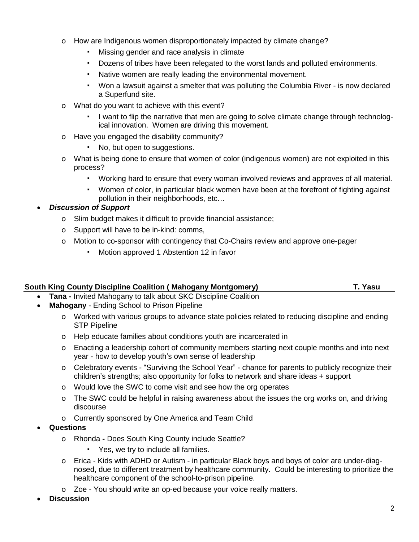- o How are Indigenous women disproportionately impacted by climate change?
	- Missing gender and race analysis in climate
	- Dozens of tribes have been relegated to the worst lands and polluted environments.
	- Native women are really leading the environmental movement.
	- Won a lawsuit against a smelter that was polluting the Columbia River is now declared a Superfund site.
- o What do you want to achieve with this event?
	- I want to flip the narrative that men are going to solve climate change through technological innovation. Women are driving this movement.
- o Have you engaged the disability community?
	- No, but open to suggestions.
- o What is being done to ensure that women of color (indigenous women) are not exploited in this process?
	- Working hard to ensure that every woman involved reviews and approves of all material.
	- Women of color, in particular black women have been at the forefront of fighting against pollution in their neighborhoods, etc…

### • *Discussion of Support*

- o Slim budget makes it difficult to provide financial assistance;
- o Support will have to be in-kind: comms,
- o Motion to co-sponsor with contingency that Co-Chairs review and approve one-pager
	- Motion approved 1 Abstention 12 in favor

|  | South King County Discipline Coalition ( Mahogany Montgomery) |  |  | T. Yasu |
|--|---------------------------------------------------------------|--|--|---------|
|  |                                                               |  |  |         |

- **Tana -** Invited Mahogany to talk about SKC Discipline Coalition
- **Mahogany** Ending School to Prison Pipeline
	- o Worked with various groups to advance state policies related to reducing discipline and ending STP Pipeline
	- o Help educate families about conditions youth are incarcerated in
	- o Enacting a leadership cohort of community members starting next couple months and into next year - how to develop youth's own sense of leadership
	- o Celebratory events "Surviving the School Year" chance for parents to publicly recognize their children's strengths; also opportunity for folks to network and share ideas + support
	- o Would love the SWC to come visit and see how the org operates
	- o The SWC could be helpful in raising awareness about the issues the org works on, and driving discourse
	- o Currently sponsored by One America and Team Child
- **Questions**
	- o Rhonda **-** Does South King County include Seattle?
		- Yes, we try to include all families.
	- o Erica Kids with ADHD or Autism in particular Black boys and boys of color are under-diagnosed, due to different treatment by healthcare community. Could be interesting to prioritize the healthcare component of the school-to-prison pipeline.
	- o Zoe You should write an op-ed because your voice really matters.
- **Discussion**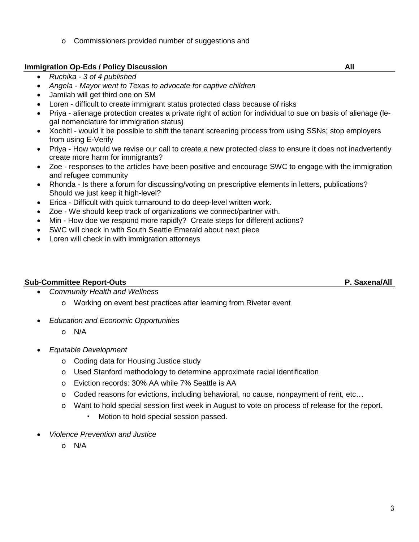o Commissioners provided number of suggestions and

## **Immigration Op-Eds / Policy Discussion All**

• *Ruchika - 3 of 4 published*

# • *Angela - Mayor went to Texas to advocate for captive children*

- Jamilah will get third one on SM
- Loren difficult to create immigrant status protected class because of risks
- Priya alienage protection creates a private right of action for individual to sue on basis of alienage (legal nomenclature for immigration status)
- Xochitl would it be possible to shift the tenant screening process from using SSNs; stop employers from using E-Verify
- Priya How would we revise our call to create a new protected class to ensure it does not inadvertently create more harm for immigrants?
- Zoe responses to the articles have been positive and encourage SWC to engage with the immigration and refugee community
- Rhonda Is there a forum for discussing/voting on prescriptive elements in letters, publications? Should we just keep it high-level?
- Erica Difficult with quick turnaround to do deep-level written work.
- Zoe We should keep track of organizations we connect/partner with.
- Min How doe we respond more rapidly? Create steps for different actions?
- SWC will check in with South Seattle Emerald about next piece
- Loren will check in with immigration attorneys

# **Sub-Committee Report-Outs P. Saxena/All**

- *Community Health and Wellness*
	- o Working on event best practices after learning from Riveter event
- *Education and Economic Opportunities*
	- o N/A
- *Equitable Development*
	- o Coding data for Housing Justice study
	- o Used Stanford methodology to determine approximate racial identification
	- o Eviction records: 30% AA while 7% Seattle is AA
	- o Coded reasons for evictions, including behavioral, no cause, nonpayment of rent, etc…
	- o Want to hold special session first week in August to vote on process of release for the report.
		- Motion to hold special session passed.
- *Violence Prevention and Justice*
	- o N/A